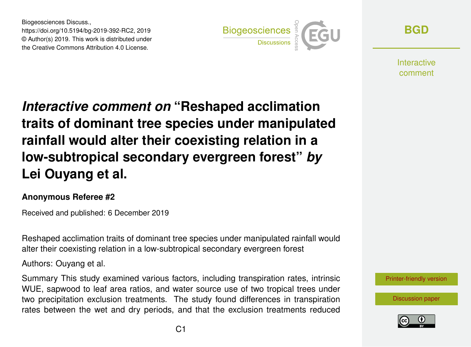Biogeosciences Discuss., https://doi.org/10.5194/bg-2019-392-RC2, 2019 © Author(s) 2019. This work is distributed under the Creative Commons Attribution 4.0 License.



**[BGD](https://www.biogeosciences-discuss.net/)**

**Interactive** comment

*Interactive comment on* **"Reshaped acclimation traits of dominant tree species under manipulated rainfall would alter their coexisting relation in a low-subtropical secondary evergreen forest"** *by* **Lei Ouyang et al.**

#### **Anonymous Referee #2**

Received and published: 6 December 2019

Reshaped acclimation traits of dominant tree species under manipulated rainfall would alter their coexisting relation in a low-subtropical secondary evergreen forest

Authors: Ouyang et al.

Summary This study examined various factors, including transpiration rates, intrinsic WUE, sapwood to leaf area ratios, and water source use of two tropical trees under two precipitation exclusion treatments. The study found differences in transpiration rates between the wet and dry periods, and that the exclusion treatments reduced

[Printer-friendly version](https://www.biogeosciences-discuss.net/bg-2019-392/bg-2019-392-RC2-print.pdf)

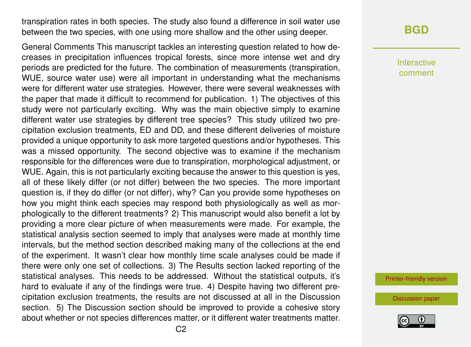transpiration rates in both species. The study also found a difference in soil water use between the two species, with one using more shallow and the other using deeper.

General Comments This manuscript tackles an interesting question related to how decreases in precipitation influences tropical forests, since more intense wet and dry periods are predicted for the future. The combination of measurements (transpiration, WUE, source water use) were all important in understanding what the mechanisms were for different water use strategies. However, there were several weaknesses with the paper that made it difficult to recommend for publication. 1) The objectives of this study were not particularly exciting. Why was the main objective simply to examine different water use strategies by different tree species? This study utilized two precipitation exclusion treatments, ED and DD, and these different deliveries of moisture provided a unique opportunity to ask more targeted questions and/or hypotheses. This was a missed opportunity. The second objective was to examine if the mechanism responsible for the differences were due to transpiration, morphological adjustment, or WUE. Again, this is not particularly exciting because the answer to this question is yes, all of these likely differ (or not differ) between the two species. The more important question is, if they do differ (or not differ), why? Can you provide some hypotheses on how you might think each species may respond both physiologically as well as morphologically to the different treatments? 2) This manuscript would also benefit a lot by providing a more clear picture of when measurements were made. For example, the statistical analysis section seemed to imply that analyses were made at monthly time intervals, but the method section described making many of the collections at the end of the experiment. It wasn't clear how monthly time scale analyses could be made if there were only one set of collections. 3) The Results section lacked reporting of the statistical analyses. This needs to be addressed. Without the statistical outputs, it's hard to evaluate if any of the findings were true. 4) Despite having two different precipitation exclusion treatments, the results are not discussed at all in the Discussion section. 5) The Discussion section should be improved to provide a cohesive story about whether or not species differences matter, or it different water treatments matter.

### **[BGD](https://www.biogeosciences-discuss.net/)**

Interactive comment

[Printer-friendly version](https://www.biogeosciences-discuss.net/bg-2019-392/bg-2019-392-RC2-print.pdf)

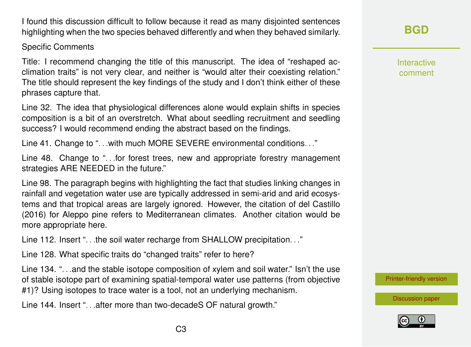I found this discussion difficult to follow because it read as many disjointed sentences highlighting when the two species behaved differently and when they behaved similarly.

#### Specific Comments

Title: I recommend changing the title of this manuscript. The idea of "reshaped acclimation traits" is not very clear, and neither is "would alter their coexisting relation." The title should represent the key findings of the study and I don't think either of these phrases capture that.

Line 32. The idea that physiological differences alone would explain shifts in species composition is a bit of an overstretch. What about seedling recruitment and seedling success? I would recommend ending the abstract based on the findings.

Line 41. Change to ". . .with much MORE SEVERE environmental conditions. . ."

Line 48. Change to "...for forest trees, new and appropriate forestry management strategies ARE NEEDED in the future."

Line 98. The paragraph begins with highlighting the fact that studies linking changes in rainfall and vegetation water use are typically addressed in semi-arid and arid ecosystems and that tropical areas are largely ignored. However, the citation of del Castillo (2016) for Aleppo pine refers to Mediterranean climates. Another citation would be more appropriate here.

Line 112. Insert "... the soil water recharge from SHALLOW precipitation..."

Line 128. What specific traits do "changed traits" refer to here?

Line 134. "... and the stable isotope composition of xylem and soil water." Isn't the use of stable isotope part of examining spatial-temporal water use patterns (from objective #1)? Using isotopes to trace water is a tool, not an underlying mechanism.

Line 144. Insert "...after more than two-decadeS OF natural growth."

**[BGD](https://www.biogeosciences-discuss.net/)**

Interactive comment

[Printer-friendly version](https://www.biogeosciences-discuss.net/bg-2019-392/bg-2019-392-RC2-print.pdf)

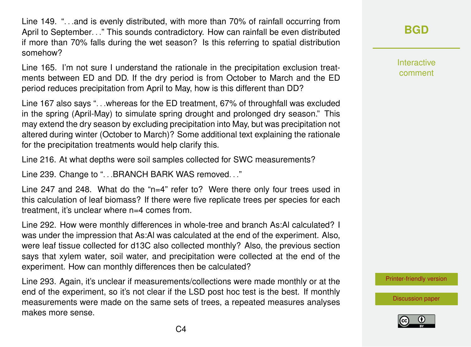Line 149. ". . .and is evenly distributed, with more than 70% of rainfall occurring from April to September. . ." This sounds contradictory. How can rainfall be even distributed if more than 70% falls during the wet season? Is this referring to spatial distribution somehow?

Line 165. I'm not sure I understand the rationale in the precipitation exclusion treatments between ED and DD. If the dry period is from October to March and the ED period reduces precipitation from April to May, how is this different than DD?

Line 167 also says ". . .whereas for the ED treatment, 67% of throughfall was excluded in the spring (April-May) to simulate spring drought and prolonged dry season." This may extend the dry season by excluding precipitation into May, but was precipitation not altered during winter (October to March)? Some additional text explaining the rationale for the precipitation treatments would help clarify this.

Line 216. At what depths were soil samples collected for SWC measurements?

Line 239. Change to "...BRANCH BARK WAS removed..."

Line 247 and 248. What do the "n=4" refer to? Were there only four trees used in this calculation of leaf biomass? If there were five replicate trees per species for each treatment, it's unclear where n=4 comes from.

Line 292. How were monthly differences in whole-tree and branch As:Al calculated? I was under the impression that As:Al was calculated at the end of the experiment. Also, were leaf tissue collected for d13C also collected monthly? Also, the previous section says that xylem water, soil water, and precipitation were collected at the end of the experiment. How can monthly differences then be calculated?

Line 293. Again, it's unclear if measurements/collections were made monthly or at the end of the experiment, so it's not clear if the LSD post hoc test is the best. If monthly measurements were made on the same sets of trees, a repeated measures analyses makes more sense.

# **[BGD](https://www.biogeosciences-discuss.net/)**

Interactive comment

[Printer-friendly version](https://www.biogeosciences-discuss.net/bg-2019-392/bg-2019-392-RC2-print.pdf)

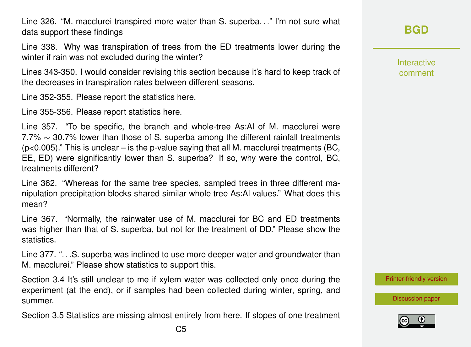Line 326. "M. macclurei transpired more water than S. superba. . ." I'm not sure what data support these findings

Line 338. Why was transpiration of trees from the ED treatments lower during the winter if rain was not excluded during the winter?

Lines 343-350. I would consider revising this section because it's hard to keep track of the decreases in transpiration rates between different seasons.

Line 352-355. Please report the statistics here.

Line 355-356. Please report statistics here.

Line 357. "To be specific, the branch and whole-tree As:Al of M. macclurei were 7.7%  $\sim$  30.7% lower than those of S. superba among the different rainfall treatments  $(p<0.005)$ ." This is unclear – is the p-value saying that all M. macclurei treatments (BC, EE, ED) were significantly lower than S. superba? If so, why were the control, BC, treatments different?

Line 362. "Whereas for the same tree species, sampled trees in three different manipulation precipitation blocks shared similar whole tree As:Al values." What does this mean?

Line 367. "Normally, the rainwater use of M. macclurei for BC and ED treatments was higher than that of S. superba, but not for the treatment of DD." Please show the statistics.

Line 377. ". . .S. superba was inclined to use more deeper water and groundwater than M. macclurei." Please show statistics to support this.

Section 3.4 It's still unclear to me if xylem water was collected only once during the experiment (at the end), or if samples had been collected during winter, spring, and summer.

Section 3.5 Statistics are missing almost entirely from here. If slopes of one treatment

Interactive comment

[Printer-friendly version](https://www.biogeosciences-discuss.net/bg-2019-392/bg-2019-392-RC2-print.pdf)